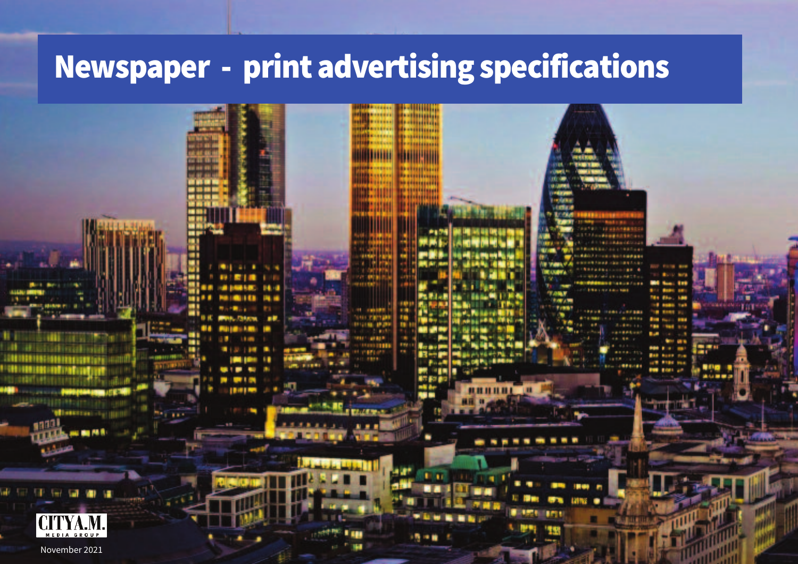## Newspaper - print advertising specifications

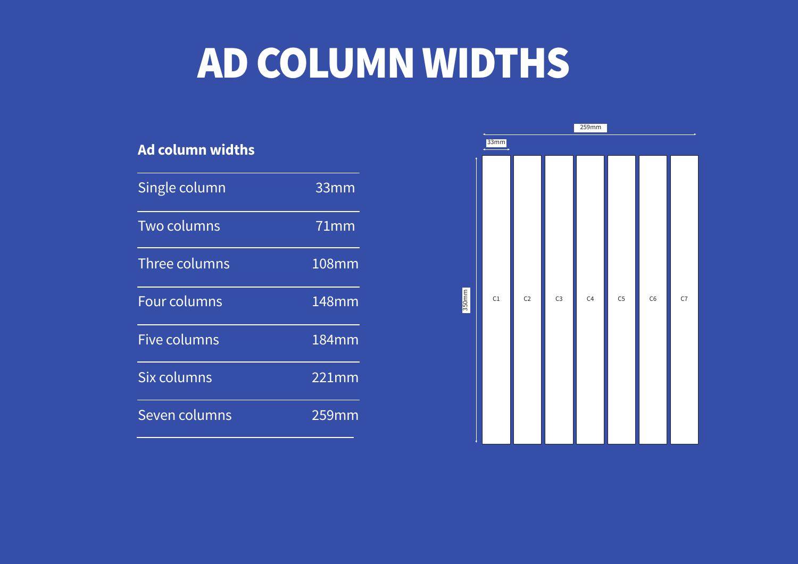# AD COLUMN WIDTHS

| Ad column widths    |         |
|---------------------|---------|
| Single column       | 33mm    |
| <b>Two columns</b>  | $71$ mm |
| Three columns       | 108mm   |
| <b>Four columns</b> | 148mm   |
| <b>Five columns</b> | 184mm   |
| Six columns         | 221mm   |
| Seven columns       | 259mm   |

|       | 259mm |                |                |    |                |    |    |
|-------|-------|----------------|----------------|----|----------------|----|----|
| 33mm  |       |                |                |    |                |    |    |
| 350mm | C1    | C <sub>2</sub> | C <sub>3</sub> | C4 | C <sub>5</sub> | C6 | C7 |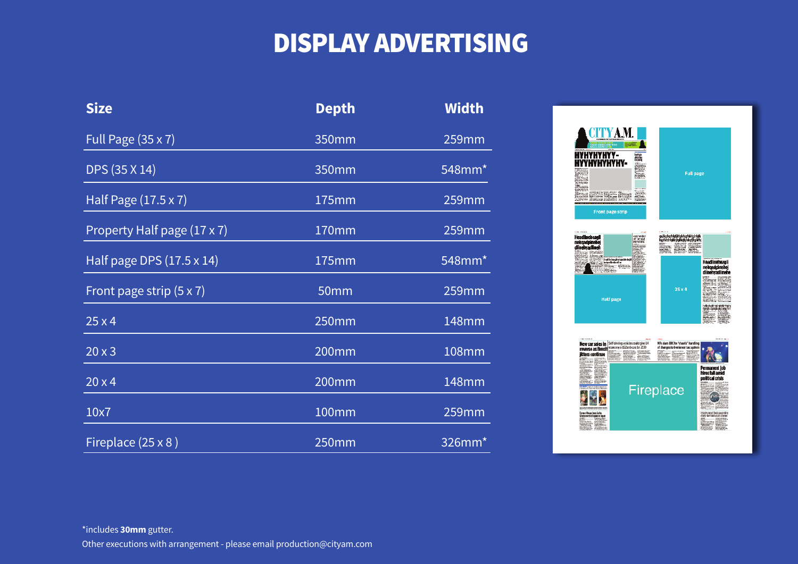### DISPLAY ADVERTISING

| <b>Size</b>                      | <b>Depth</b> | <b>Width</b> |
|----------------------------------|--------------|--------------|
| Full Page (35 x 7)               | 350mm        | <b>259mm</b> |
| DPS (35 X 14)                    | 350mm        | 548mm*       |
| Half Page (17.5 x 7)             | 175mm        | 259mm        |
| Property Half page (17 x 7)      | 170mm        | 259mm        |
| Half page DPS $(17.5 \times 14)$ | 175mm        | 548mm*       |
| Front page strip $(5 \times 7)$  | 50mm         | 259mm        |
| 25x4                             | 250mm        | 148mm        |
| 20x3                             | <b>200mm</b> | <b>108mm</b> |
| 20x4                             | 200mm        | 148mm        |
| 10x7                             | 100mm        | 259mm        |
| Fireplace (25 x 8)               | 250mm        | 326mm*       |

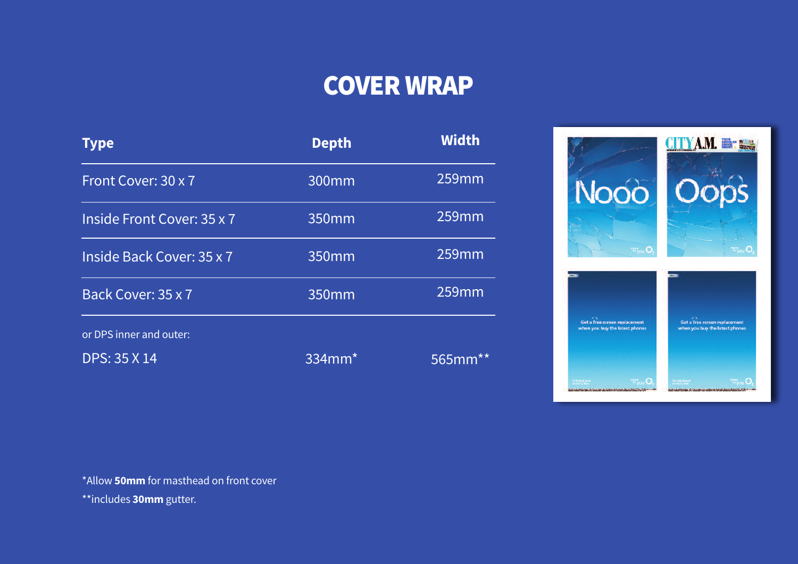### COVER WRAP

| <b>Type</b>                | <b>Depth</b> | <b>Width</b> |
|----------------------------|--------------|--------------|
| Front Cover: 30 x 7        | 300mm        | 259mm        |
| Inside Front Cover: 35 x 7 | 350mm        | 259mm        |
| Inside Back Cover: 35 x 7  | 350mm        | 259mm        |
| Back Cover: 35 x 7         | 350mm        | 259mm        |
| or DPS inner and outer:    |              |              |
| <b>DPS: 35 X 14</b>        | 334mm*       | 565mm        |



\*Allow **50mm** for masthead on front cover

\*\*includes **30mm** gutter.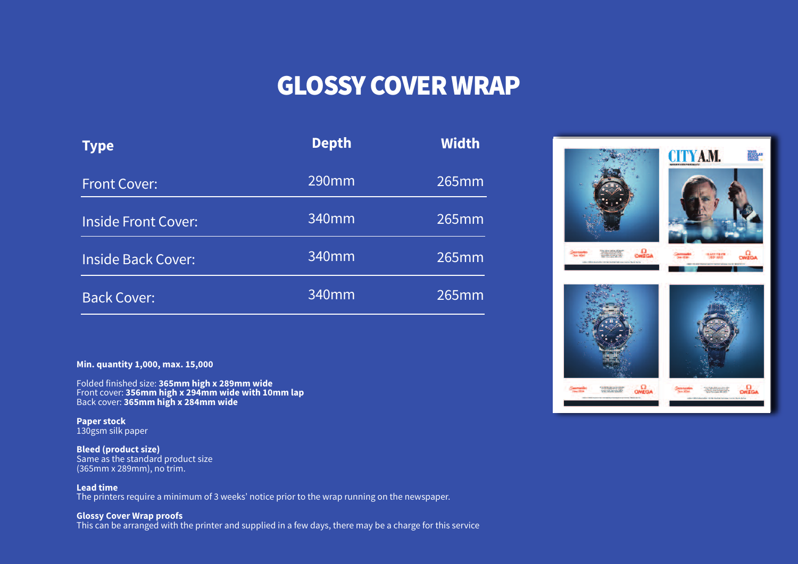#### GLOSSY COVER WRAP

| Type                       | <b>Depth</b> | <b>Width</b> |
|----------------------------|--------------|--------------|
| <b>Front Cover:</b>        | 290mm        | 265mm        |
| <b>Inside Front Cover:</b> | 340mm        | 265mm        |
| <b>Inside Back Cover:</b>  | 340mm        | 265mm        |
| <b>Back Cover:</b>         | 340mm        | 265mm        |

**Min. quantity 1,000, max. 15,000**

Folded finished size: **365mm high x 289mm wide** Front cover: **356mm high x 294mm wide with 10mm lap** Back cover: **365mm high x 284mm wide**

**Paper stock** 130gsm silk paper

**Bleed (product size)** Same as the standard product size (365mm x 289mm), no trim.

**Lead time** The printers require a minimum of 3 weeks' notice prior to the wrap running on the newspaper.

**Glossy Cover Wrap proofs** This can be arranged with the printer and supplied in a few days, there may be a charge for this service

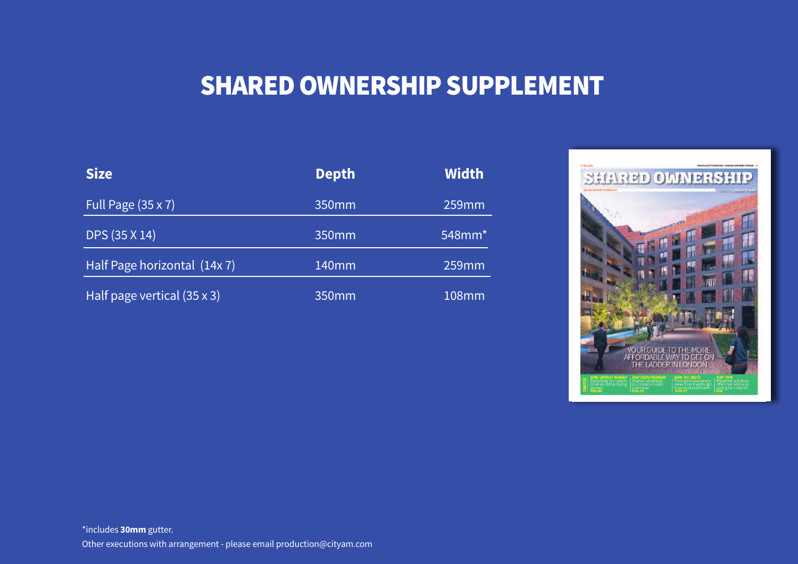### SHARED OWNERSHIP SUPPLEMENT

| <b>Size</b>                        | <b>Depth</b>      | <b>Width</b>          |
|------------------------------------|-------------------|-----------------------|
| Full Page $(35 \times 7)$          | 350mm             | 259mm                 |
| DPS (35 X 14)                      | 350mm             | $548$ mm <sup>*</sup> |
| Half Page horizontal (14x 7)       | 140 <sub>mm</sub> | 259mm                 |
| Half page vertical $(35 \times 3)$ | 350 <sub>mm</sub> | 108mm                 |